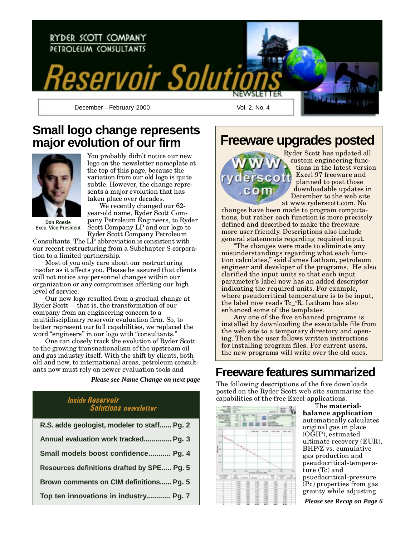

### **Small logo change represents major evolution of our firm**



You probably didn't notice our new logo on the newsletter nameplate at the top of this page, because the variation from our old logo is quite subtle. However, the change represents a major evolution that has taken place over decades.

**Don Roesle Exec. Vice President**

We recently changed our 62 year-old name, Ryder Scott Company Petroleum Engineers, to Ryder Scott Company LP and our logo to Ryder Scott Company Petroleum

Consultants. The LP abbreviation is consistent with our recent restructuring from a Subchapter S corporation to a limited partnership.

Most of you only care about our restructuring insofar as it affects you. Please be assured that clients will not notice any personnel changes within our organization or any compromises affecting our high level of service.

Our new logo resulted from a gradual change at Ryder Scott—that is, the transformation of our company from an engineering concern to a multidisciplinary reservoir evaluation firm. So, to better represent our full capabilities, we replaced the word "engineers" in our logo with "consultants."

One can closely track the evolution of Ryder Scott to the growing transnationalism of the upstream oil and gas industry itself. With the shift by clients, both old and new, to international areas, petroleum consultants now must rely on newer evaluation tools and

*Please see Name Change on next page*

### Inside Reservoir Solutions newsletter

| R.S. adds geologist, modeler to staff Pg. 2 |
|---------------------------------------------|
| Annual evaluation work tracked Pg. 3        |
| Small models boost confidence Pg. 4         |
| Resources definitions drafted by SPE Pg. 5  |
| Brown comments on CIM definitions Pg. 5     |
| Top ten innovations in industry Pg. 7       |

**Freeware upgrades posted**



Ryder Scott has updated all custom engineering functions in the latest version Excel 97 freeware and planned to post those downloadable updates in December to the web site at www.ryderscott.com. No

changes have been made to program computations, but rather each function is more precisely defined and described to make the freeware more user friendly. Descriptions also include general statements regarding required input.

The changes were made to eliminate any misunderstandings regarding what each function calculates," said James Latham, petroleum engineer and developer of the programs. He also clarified the input units so that each input parameter's label now has an added descriptor indicating the required units. For example, where pseudocritical temperature is to be input, the label now reads Tc\_°R. Latham has also enhanced some of the templates.

Any one of the five enhanced programs is installed by downloading the executable file from the web site to a temporary directory and opening. Then the user follows written instructions for installing program files. For current users, the new programs will write over the old ones.

### **Freeware features summarized**

The following descriptions of the five downloads posted on the Ryder Scott web site summarize the capabilities of the free Excel applications.



The materialbalance application automatically calculates original gas in place (OGIP), estimated ultimate recovery (EUR), BHP/Z vs. cumulative gas production and pseudocritical-temperature (Tc) and psuedocritical-pressure (Pc) properties from gas gravity while adjusting

*Please see Recap on Page 6*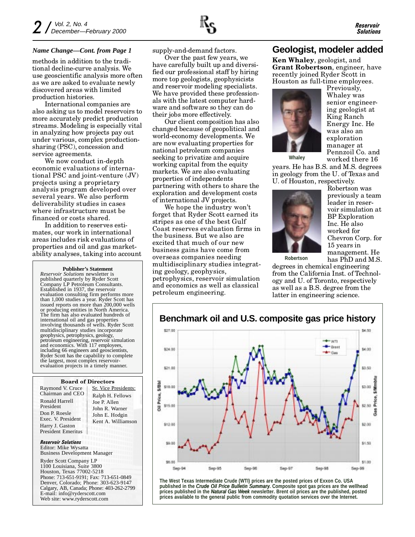methods in addition to the traditional decline-curve analysis. We use geoscientific analysis more often as we are asked to evaluate newly discovered areas with limited production histories.

International companies are also asking us to model reservoirs to more accurately predict production streams. Modeling is especially vital in analyzing how projects pay out under various, complex productionsharing (PSC), concession and service agreements.

We now conduct in-depth economic evaluations of international PSC and joint-venture (JV) projects using a proprietary analysis program developed over several years. We also perform deliverability studies in cases where infrastructure must be financed or costs shared.

In addition to reserves estimates, our work in international areas includes risk evaluations of properties and oil and gas marketability analyses, taking into account

**Publisher's Statement**

*Reservoir Solutions* newsletter is published quarterly by Ryder Scott Company LP Petroleum Consultants. Established in 1937, the reservoir evaluation consulting firm performs more than 1,000 studies a year. Ryder Scott has issued reports on more than 200,000 wells or producing entities in North America. The firm has also evaluated hundreds of international oil and gas properties involving thousands of wells. Ryder Scott multidisciplinary studies incorporate geophysics, petrophysics, geology, petroleum engineering, reservoir simulation and economics. With 117 employees, including 66 engineers and geoscientists, Ryder Scott has the capability to complete the largest, most complex reservoirevaluation projects in a timely manner.

#### Board of Directors

| Raymond V. Cruce   | S |
|--------------------|---|
| Chairman and CEO   | F |
| Ronald Harrell     | J |
| President          | J |
| Don P. Roesle      | J |
| Exec. V. President | F |
| Harry J. Gaston    |   |
| President Emeritus |   |

r. Vice Presidents: Ralph H. Fellows oe P. Allen John R. Warner ohn E. Hodgin Kent A. Williamson

Reservoir Solutions Editor: Mike Wysatta Business Development Manager

Ryder Scott Company LP 1100 Louisiana, Suite 3800 Houston, Texas 77002-5218 Phone: 713-651-9191; Fax: 713-651-0849 Denver, Colorado; Phone: 303-623-9147 Calgary, AB, Canada; Phone: 403-262-2799 E-mail: info@ryderscott.com Web site: www.ryderscott.com

supply-and-demand factors.

Over the past few years, we have carefully built up and diversified our professional staff by hiring more top geologists, geophysicists and reservoir modeling specialists. We have provided these professionals with the latest computer hardware and software so they can do their jobs more effectively.

Our client composition has also changed because of geopolitical and world-economy developments. We are now evaluating properties for national petroleum companies seeking to privatize and acquire working capital from the equity markets. We are also evaluating properties of independents partnering with others to share the exploration and development costs of international JV projects.

We hope the industry won't forget that Ryder Scott earned its stripes as one of the best Gulf Coast reserves evaluation firms in the business. But we also are excited that much of our new business gains have come from overseas companies needing multidisciplinary studies integrating geology, geophysics, petrophysics, reservoir simulation and economics as well as classical petroleum engineering.

### *Name Change—Cont. from Page 1* **Geologist, modeler added**

Ken Whaley, geologist, and Grant Robertson, engineer, have recently joined Ryder Scott in Houston as full-time employees.



Previously, Whaley was senior engineering geologist at King Ranch Energy Inc. He was also an exploration manager at Pennzoil Co. and worked there 16 **Whaley**

years. He has B.S. and M.S. degrees in geology from the U. of Texas and U. of Houston, respectively.



**Robertson**

Robertson was previously a team leader in reservoir simulation at BP Exploration Inc. He also worked for Chevron Corp. for 15 years in management. He has PhD and M.S.

degrees in chemical engineering from the California Inst. of Technology and U. of Toronto, respectively as well as a B.S. degree from the latter in engineering science.



**The West Texas Intermediate Crude (WTI) prices are the posted prices of Exxon Co. USA published in the** *Crude Oil Price Bulletin Summary***. Composite spot gas prices are the wellhead prices published in the** *Natural Gas Week* **newsletter. Brent oil prices are the published, posted prices available to the general public from commodity quotation services over the Internet.**

### **Benchmark oil and U.S. composite gas price history**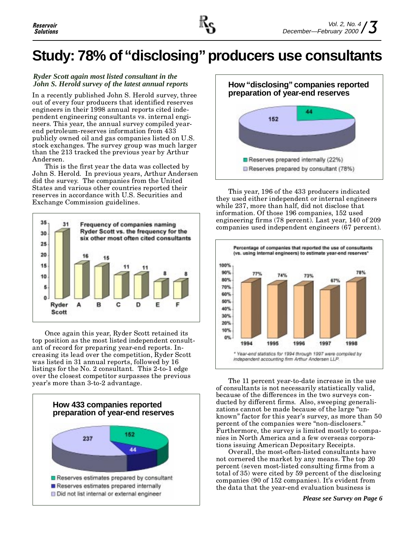# **Study: 78% of "disclosing" producers use consultants**

#### *Ryder Scott again most listed consultant in the John S. Herold survey of the latest annual reports*

In a recently published John S. Herold survey, three out of every four producers that identified reserves engineers in their 1998 annual reports cited independent engineering consultants vs. internal engineers. This year, the annual survey compiled yearend petroleum-reserves information from 433 publicly owned oil and gas companies listed on U.S. stock exchanges. The survey group was much larger than the 213 tracked the previous year by Arthur Andersen.

This is the first year the data was collected by John S. Herold. In previous years, Arthur Andersen did the survey. The companies from the United States and various other countries reported their reserves in accordance with U.S. Securities and Exchange Commission guidelines.



Once again this year, Ryder Scott retained its top position as the most listed independent consultant of record for preparing year-end reports. Increasing its lead over the competition, Ryder Scott was listed in 31 annual reports, followed by 16 listings for the No. 2 consultant. This 2-to-1 edge over the closest competitor surpasses the previous year's more than 3-to-2 advantage.





This year, 196 of the 433 producers indicated they used either independent or internal engineers while 237, more than half, did not disclose that information. Of those 196 companies, 152 used engineering firms (78 percent). Last year, 140 of 209 companies used independent engineers (67 percent).



The 11 percent year-to-date increase in the use of consultants is not necessarily statistically valid, because of the differences in the two surveys conducted by different firms. Also, sweeping generalizations cannot be made because of the large "unknown" factor for this year's survey, as more than 50 percent of the companies were "non-disclosers." Furthermore, the survey is limited mostly to companies in North America and a few overseas corporations issuing American Depositary Receipts.

Overall, the most-often-listed consultants have not cornered the market by any means. The top 20 percent (seven most-listed consulting firms from a total of 35) were cited by 59 percent of the disclosing companies  $(90 \text{ of } 152 \text{ companies})$ . It's evident from the data that the year-end evaluation business is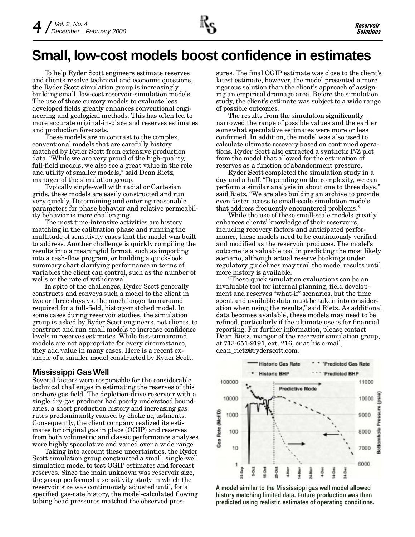## **Small, low-cost models boost confidence in estimates**

To help Ryder Scott engineers estimate reserves and clients resolve technical and economic questions, the Ryder Scott simulation group is increasingly building small, low-cost reservoir-simulation models. The use of these cursory models to evaluate less developed fields greatly enhances conventional engineering and geological methods. This has often led to more accurate original-in-place and reserves estimates and production forecasts.

These models are in contrast to the complex, conventional models that are carefully history matched by Ryder Scott from extensive production data. While we are very proud of the high-quality, full-field models, we also see a great value in the role and utility of smaller models," said Dean Rietz, manager of the simulation group.

Typically single-well with radial or Cartesian grids, these models are easily constructed and run very quickly. Determining and entering reasonable parameters for phase behavior and relative permeability behavior is more challenging.

The most time-intensive activities are history matching in the calibration phase and running the multitude of sensitivity cases that the model was built to address. Another challenge is quickly compiling the results into a meaningful format, such as importing into a cash-flow program, or building a quick-look summary chart clarifying performance in terms of variables the client can control, such as the number of wells or the rate of withdrawal.

In spite of the challenges, Ryder Scott generally constructs and conveys such a model to the client in two or three days vs. the much longer turnaround required for a full-field, history-matched model. In some cases during reservoir studies, the simulation group is asked by Ryder Scott engineers, not clients, to construct and run small models to increase confidence levels in reserves estimates. While fast-turnaround models are not appropriate for every circumstance, they add value in many cases. Here is a recent example of a smaller model constructed by Ryder Scott.

### **Mississippi Gas Well**

Several factors were responsible for the considerable technical challenges in estimating the reserves of this onshore gas field. The depletion-drive reservoir with a single dry-gas producer had poorly understood boundaries, a short production history and increasing gas rates predominantly caused by choke adjustments. Consequently, the client company realized its estimates for original gas in place (OGIP) and reserves from both volumetric and classic performance analyses were highly speculative and varied over a wide range.

Taking into account these uncertainties, the Ryder Scott simulation group constructed a small, single-well simulation model to test OGIP estimates and forecast reserves. Since the main unknown was reservoir size, the group performed a sensitivity study in which the reservoir size was continuously adjusted until, for a specified gas-rate history, the model-calculated flowing tubing head pressures matched the observed pressures. The final OGIP estimate was close to the client's latest estimate, however, the model presented a more rigorous solution than the client's approach of assigning an empirical drainage area. Before the simulation study, the client's estimate was subject to a wide range of possible outcomes.

The results from the simulation significantly narrowed the range of possible values and the earlier somewhat speculative estimates were more or less confirmed. In addition, the model was also used to calculate ultimate recovery based on continued operations. Ryder Scott also extracted a synthetic P/Z plot from the model that allowed for the estimation of reserves as a function of abandonment pressure.

Ryder Scott completed the simulation study in a day and a half. "Depending on the complexity, we can perform a similar analysis in about one to three days, said Rietz. We are also building an archive to provide even faster access to small-scale simulation models that address frequently encountered problems.

While the use of these small-scale models greatly enhances clients' knowledge of their reservoirs, including recovery factors and anticipated performance, these models need to be continuously verified and modified as the reservoir produces. The model's outcome is a valuable tool in predicting the most likely scenario, although actual reserve bookings under regulatory guidelines may trail the model results until more history is available.

These quick simulation evaluations can be an invaluable tool for internal planning, field development and reserves "what-if" scenarios, but the time spent and available data must be taken into consideration when using the results," said Rietz. As additional data becomes available, these models may need to be refined, particularly if the ultimate use is for financial reporting. For further information, please contact Dean Rietz, manger of the reservoir simulation group, at 713-651-9191, ext. 216, or at his e-mail, dean\_rietz@ryderscott.com.



**A model similar to the Mississippi gas well model allowed history matching limited data. Future production was then predicted using realistic estimates of operating conditions.**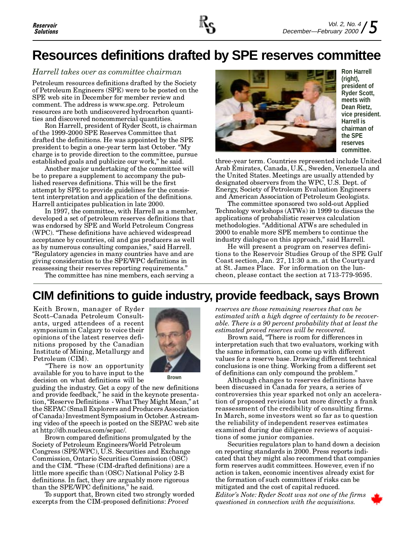# **Resources definitions drafted by SPE reserves committee**

#### Harrell takes over as committee chairman **Ron Harrell Ron Harrell Ron Harrell**

Petroleum resources definitions drafted by the Society of Petroleum Engineers (SPE) were to be posted on the SPE web site in December for member review and comment. The address is www.spe.org. Petroleum resources are both undiscovered hydrocarbon quantities and discovered noncommercial quantities.

Ron Harrell, president of Ryder Scott, is chairman of the 1999-2000 SPE Reserves Committee that drafted the definitions. He was appointed by the SPE president to begin a one-year term last October. "My charge is to provide direction to the committee, pursue established goals and publicize our work," he said.

Another major undertaking of the committee will be to prepare a supplement to accompany the published reserves definitions. This will be the first attempt by SPE to provide guidelines for the consistent interpretation and application of the definitions. Harrell anticipates publication in late 2000.

In 1997, the committee, with Harrell as a member, developed a set of petroleum reserves definitions that was endorsed by SPE and World Petroleum Congress (WPC). These definitions have achieved widespread acceptance by countries, oil and gas producers as well as by numerous consulting companies," said Harrell. Regulatory agencies in many countries have and are giving consideration to the SPE/WPC definitions in reassessing their reserves reporting requirements.

The committee has nine members, each serving a



**(right), president of Ryder Scott, meets with Dean Rietz, vice president. Harrell is chairman of the SPE reserves committee.**

three-year term. Countries represented include United Arab Emirates, Canada, U.K., Sweden, Venezuela and the United States. Meetings are usually attended by designated observers from the WPC, U.S. Dept. of Energy, Society of Petroleum Evaluation Engineers and American Association of Petroleum Geologists.

The committee sponsored two sold-out Applied Technology workshops (ATWs) in 1999 to discuss the applications of probabilistic reserves calculation methodologies. "Additional ATWs are scheduled in 2000 to enable more SPE members to continue the industry dialogue on this approach," said Harrell.

He will present a program on reserves definitions to the Reservoir Studies Group of the SPE Gulf Coast section, Jan. 27, 11:30 a.m. at the Courtyard at St. James Place. For information on the luncheon, please contact the section at 713-779-9595.

### **CIM definitions to guide industry, provide feedback, says Brown**

Keith Brown, manager of Ryder Scott-Canada Petroleum Consultants, urged attendees of a recent symposium in Calgary to voice their opinions of the latest reserves definitions proposed by the Canadian Institute of Mining, Metallurgy and Petroleum (CIM).

**Brown**

There is now an opportunity available for you to have input to the decision on what definitions will be

guiding the industry. Get a copy of the new definitions and provide feedback," he said in the keynote presentation, "Reserve Definitions - What They Might Mean," at the SEPAC (Small Explorers and Producers Association of Canada) Investment Symposium in October. A streaming video of the speech is posted on the SEPAC web site at http://db.nucleus.com/sepac/.

Brown compared definitions promulgated by the Society of Petroleum Engineers/World Petroleum Congress (SPE/WPC), U.S. Securities and Exchange Commission, Ontario Securities Commission (OSC) and the CIM. "These (CIM-drafted definitions) are a little more specific than (OSC) National Policy 2-B definitions. In fact, they are arguably more rigorous than the SPE/WPC definitions," he said.

To support that, Brown cited two strongly worded excerpts from the CIM-proposed definitions: Proved

reserves are those remaining reserves that can be estimated with a high degree of certainty to be recoverable. There is a 90 percent probability that at least the estimated proved reserves will be recovered.

Brown said, There is room for differences in interpretation such that two evaluators, working with the same information, can come up with different values for a reserve base. Drawing different technical conclusions is one thing. Working from a different set of definitions can only compound the problem.

Although changes to reserves definitions have been discussed in Canada for years, a series of controversies this year sparked not only an acceleration of proposed revisions but more directly a frank reassessment of the credibility of consulting firms. In March, some investors went so far as to question the reliability of independent reserves estimates examined during due diligence reviews of acquisitions of some junior companies.

Securities regulators plan to hand down a decision on reporting standards in 2000. Press reports indicated that they might also recommend that companies form reserves audit committees. However, even if no action is taken, economic incentives already exist for the formation of such committees if risks can be mitigated and the cost of capital reduced. Editor's Note: Ryder Scott was not one of the firms questioned in connection with the acquisitions.



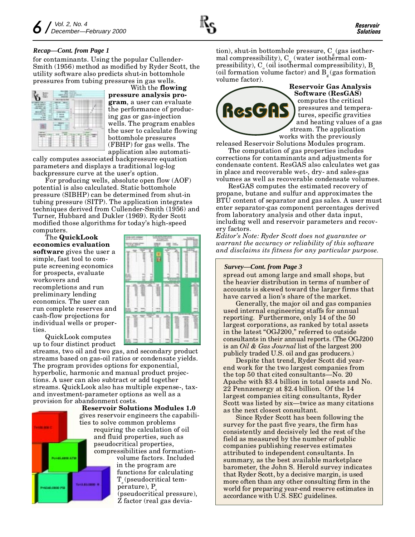#### *Recap—Cont. from Page 1*

for contaminants. Using the popular Cullender-Smith (1956) method as modified by Ryder Scott, the utility software also predicts shut-in bottomhole pressures from tubing pressures in gas wells.



With the **flowing** pressure analysis program, a user can evaluate the performance of producing gas or gas-injection wells. The program enables the user to calculate flowing bottomhole pressures (FBHP) for gas wells. The application also automati-

cally computes associated backpressure equation parameters and displays a traditional log-log backpressure curve at the user's option.

For producing wells, absolute open flow (AOF) potential is also calculated. Static bottomhole pressure (SIBHP) can be determined from shut-in tubing pressure (SITP). The application integrates techniques derived from Cullender-Smith (1956) and Turner, Hubbard and Dukler (1969). Ryder Scott modified those algorithms for today's high-speed computers.

The QuickLook economics evaluation software gives the user a simple, fast tool to compute screening economics for prospects, evaluate workovers and recompletions and run preliminary lending economics. The user can run complete reserves and cash-flow projections for individual wells or properties.

QuickLook computes up to four distinct product

streams, two oil and two gas, and secondary product streams based on gas-oil ratios or condensate yields. The program provides options for exponential, hyperbolic, harmonic and manual product projections. A user can also subtract or add together streams. QuickLook also has multiple expense-, taxand investment-parameter options as well as a provision for abandonment costs.



Reservoir Solutions Modules 1.0 gives reservoir engineers the capabilities to solve common problems requiring the calculation of oil and fluid properties, such as pseudocritical properties, compressibilities and formationvolume factors. Included in the program are functions for calculating  $T$  (pseudocritical temperature), P (pseudocritical pressure), Z factor (real gas deviation), shut-in bottomhole pressure,  $C<sub>g</sub>$  (gas isothermal compressibility),  $C_w$  (water isothermal com- $\operatorname{presibility}$ ),  $\operatorname{C}_\circ$  (oil isothermal compressibility),  $\operatorname{B}_\circ$ (oil formation volume factor) and  $B_{\sigma}$  (gas formation volume factor).



Reservoir Gas Analysis Software (ResGAS) computes the critical pressures and temperatures, specific gravities and heating values of a gas stream. The application works with the previously

released Reservoir Solutions Modules program. The computation of gas properties includes

corrections for contaminants and adjustments for condensate content. ResGAS also calculates wet gas in place and recoverable wet-, dry- and sales-gas volumes as well as recoverable condensate volumes.

ResGAS computes the estimated recovery of propane, butane and sulfur and approximates the BTU content of separator and gas sales. A user must enter separator-gas component percentages derived from laboratory analysis and other data input, including well and reservoir parameters and recovery factors.

Editor's Note: Ryder Scott does not guarantee or warrant the accuracy or reliability of this software and disclaims its fitness for any particular purpose.

#### *Survey—Cont. from Page 3*

spread out among large and small shops, but the heavier distribution in terms of number of accounts is skewed toward the larger firms that have carved a lion's share of the market.

Generally, the major oil and gas companies used internal engineering staffs for annual reporting. Furthermore, only 14 of the 50 largest corporations, as ranked by total assets in the latest "OGJ200," referred to outside consultants in their annual reports. (The OGJ200 is an Oil & Gas Journal list of the largest 200 publicly traded U.S. oil and gas producers.)

Despite that trend, Ryder Scott did yearend work for the two largest companies from the top  $50$  that cited consultants—No. 20 Apache with \$3.4 billion in total assets and No. 22 Pennzenergy at \$2.4 billion. Of the 14 largest companies citing consultants, Ryder Scott was listed by six—twice as many citations as the next closest consultant.

Since Ryder Scott has been following the survey for the past five years, the firm has consistently and decisively led the rest of the field as measured by the number of public companies publishing reserves estimates attributed to independent consultants. In summary, as the best available marketplace barometer, the John S. Herold survey indicates that Ryder Scott, by a decisive margin, is used more often than any other consulting firm in the world for preparing year-end reserve estimates in accordance with U.S. SEC guidelines.

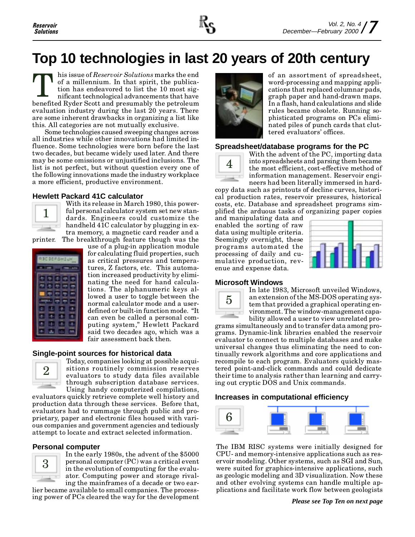

# **Top 10 technologies in last 20 years of 20th century**

his issue of Reservoir Solutions marks the end of a millennium. In that spirit, the publication has endeavored to list the 10 most significant technological advancements that have This issue of *Reservoir Solutions* marks the end<br>of a millennium. In that spirit, the publica-<br>tion has endeavored to list the 10 most sig-<br>nificant technological advancements that have<br>benefited Ryder Scott and presumabl evaluation industry during the last 20 years. There are some inherent drawbacks in organizing a list like this. All categories are not mutually exclusive.

Some technologies caused sweeping changes across all industries while other innovations had limited influence. Some technologies were born before the last two decades, but became widely used later. And there may be some omissions or unjustified inclusions. The list is not perfect, but without question every one of the following innovations made the industry workplace a more efficient, productive environment.

#### **Hewlett Packard 41C calculator**



With its release in March 1980, this powerful personal calculator system set new standards. Engineers could customize the handheld 41C calculator by plugging in extra memory, a magnetic card reader and a printer. The breakthrough feature though was the

| ≖                           |
|-----------------------------|
| 手                           |
| 帶<br>-9<br>×                |
| <b>MM</b><br>œ<br>ш<br>1111 |
| ÷<br>×<br>ا ع<br>г          |
|                             |
|                             |
| ×                           |

use of a plug-in application module for calculating fluid properties, such as critical pressures and temperatures, Z factors, etc. This automation increased productivity by eliminating the need for hand calculations. The alphanumeric keys allowed a user to toggle between the normal calculator mode and a userdefined or built-in function mode. "It can even be called a personal computing system," Hewlett Packard said two decades ago, which was a fair assessment back then.

#### **Single-point sources for historical data**



Today, companies looking at possible acquisitions routinely commission reserves evaluators to study data files available through subscription database services. Using handy computerized compilations,

evaluators quickly retrieve complete well history and production data through these services. Before that, evaluators had to rummage through public and proprietary, paper and electronic files housed with various companies and government agencies and tediously attempt to locate and extract selected information.

#### **Personal computer**



In the early 1980s, the advent of the \$5000 personal computer (PC) was a critical event in the evolution of computing for the evaluator. Computing power and storage rivaling the mainframes of a decade or two ear-

lier became available to small companies. The processing power of PCs cleared the way for the development



of an assortment of spreadsheet, word-processing and mapping applications that replaced columnar pads, graph paper and hand-drawn maps. In a flash, hand calculations and slide rules became obsolete. Running sophisticated programs on PCs eliminated piles of punch cards that cluttered evaluators' offices.

#### **Spreadsheet/database programs for the PC**



With the advent of the PC, importing data into spreadsheets and parsing them became the most efficient, cost-effective method of information management. Reservoir engineers had been literally immersed in hard-

copy data such as printouts of decline curves, historical production rates, reservoir pressures, historical costs, etc. Database and spreadsheet programs simplified the arduous tasks of organizing paper copies

and manipulating data and enabled the sorting of raw data using multiple criteria. Seemingly overnight, these programs automated the processing of daily and cumulative production, revenue and expense data.



#### **Microsoft Windows**



In late 1983, Microsoft unveiled Windows, an extension of the MS-DOS operating system that provided a graphical operating environment. The window-management capability allowed a user to view unrelated pro-

grams simultaneously and to transfer data among programs. Dynamic-link libraries enabled the reservoir evaluator to connect to multiple databases and make universal changes thus eliminating the need to continually rework algorithms and core applications and recompile to each program. Evaluators quickly mastered point-and-click commands and could dedicate their time to analysis rather than learning and carrying out cryptic DOS and Unix commands.

#### **Increases in computational efficiency**



The IBM RISC systems were initially designed for CPU- and memory-intensive applications such as reservoir modeling. Other systems, such as SGI and Sun, were suited for graphics-intensive applications, such as geologic modeling and 3D visualization. Now these and other evolving systems can handle multiple applications and facilitate work flow between geologists